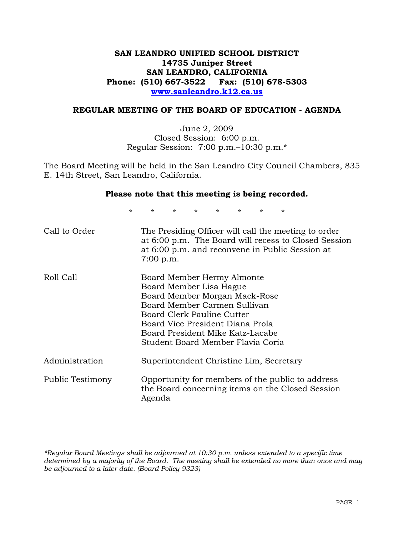# **SAN LEANDRO UNIFIED SCHOOL DISTRICT 14735 Juniper Street SAN LEANDRO, CALIFORNIA Phone: (510) 667-3522 Fax: (510) 678-5303 www.sanleandro.k12.ca.us**

### **REGULAR MEETING OF THE BOARD OF EDUCATION - AGENDA**

June 2, 2009 Closed Session: 6:00 p.m. Regular Session: 7:00 p.m.–10:30 p.m.\*

The Board Meeting will be held in the San Leandro City Council Chambers, 835 E. 14th Street, San Leandro, California.

### **Please note that this meeting is being recorded.**

\* \* \* \* \* \* \* \*

| Call to Order    | The Presiding Officer will call the meeting to order<br>at 6:00 p.m. The Board will recess to Closed Session<br>at 6:00 p.m. and reconvene in Public Session at<br>$7:00$ p.m.                                                                                    |
|------------------|-------------------------------------------------------------------------------------------------------------------------------------------------------------------------------------------------------------------------------------------------------------------|
| Roll Call        | Board Member Hermy Almonte<br>Board Member Lisa Hague<br>Board Member Morgan Mack-Rose<br>Board Member Carmen Sullivan<br>Board Clerk Pauline Cutter<br>Board Vice President Diana Prola<br>Board President Mike Katz-Lacabe<br>Student Board Member Flavia Coria |
| Administration   | Superintendent Christine Lim, Secretary                                                                                                                                                                                                                           |
| Public Testimony | Opportunity for members of the public to address<br>the Board concerning items on the Closed Session<br>Agenda                                                                                                                                                    |

*\*Regular Board Meetings shall be adjourned at 10:30 p.m. unless extended to a specific time determined by a majority of the Board. The meeting shall be extended no more than once and may be adjourned to a later date. (Board Policy 9323)*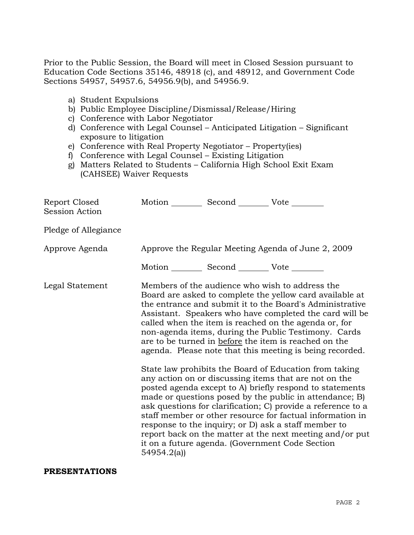Prior to the Public Session, the Board will meet in Closed Session pursuant to Education Code Sections 35146, 48918 (c), and 48912, and Government Code Sections 54957, 54957.6, 54956.9(b), and 54956.9.

- a) Student Expulsions
- b) Public Employee Discipline/Dismissal/Release/Hiring
- c) Conference with Labor Negotiator
- d) Conference with Legal Counsel Anticipated Litigation Significant exposure to litigation
- e) Conference with Real Property Negotiator Property(ies)
- f) Conference with Legal Counsel Existing Litigation
- g) Matters Related to Students California High School Exit Exam (CAHSEE) Waiver Requests

| Report Closed<br><b>Session Action</b> | Motion __________ Second __________ Vote ________     |                                                                                                                                                                                                                                                                                                                                                                                                                                                                                                                                                                                                                                                                                                                                                                                                                                                                                                                                                                                                                        |
|----------------------------------------|-------------------------------------------------------|------------------------------------------------------------------------------------------------------------------------------------------------------------------------------------------------------------------------------------------------------------------------------------------------------------------------------------------------------------------------------------------------------------------------------------------------------------------------------------------------------------------------------------------------------------------------------------------------------------------------------------------------------------------------------------------------------------------------------------------------------------------------------------------------------------------------------------------------------------------------------------------------------------------------------------------------------------------------------------------------------------------------|
| Pledge of Allegiance                   |                                                       |                                                                                                                                                                                                                                                                                                                                                                                                                                                                                                                                                                                                                                                                                                                                                                                                                                                                                                                                                                                                                        |
| Approve Agenda                         |                                                       | Approve the Regular Meeting Agenda of June 2, 2009                                                                                                                                                                                                                                                                                                                                                                                                                                                                                                                                                                                                                                                                                                                                                                                                                                                                                                                                                                     |
|                                        | Motion ___________ Second ____________ Vote _________ |                                                                                                                                                                                                                                                                                                                                                                                                                                                                                                                                                                                                                                                                                                                                                                                                                                                                                                                                                                                                                        |
| Legal Statement                        | 54954.2(a)                                            | Members of the audience who wish to address the<br>Board are asked to complete the yellow card available at<br>the entrance and submit it to the Board's Administrative<br>Assistant. Speakers who have completed the card will be<br>called when the item is reached on the agenda or, for<br>non-agenda items, during the Public Testimony. Cards<br>are to be turned in before the item is reached on the<br>agenda. Please note that this meeting is being recorded.<br>State law prohibits the Board of Education from taking<br>any action on or discussing items that are not on the<br>posted agenda except to A) briefly respond to statements<br>made or questions posed by the public in attendance; B)<br>ask questions for clarification; C) provide a reference to a<br>staff member or other resource for factual information in<br>response to the inquiry; or D) ask a staff member to<br>report back on the matter at the next meeting and/or put<br>it on a future agenda. (Government Code Section |

### **PRESENTATIONS**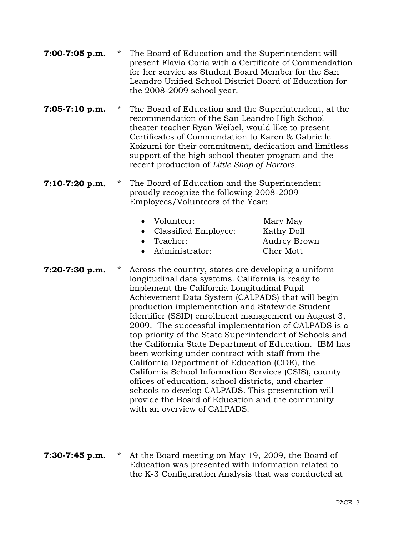| $7:00-7:05$ p.m. | * | The Board of Education and the Superintendent will<br>present Flavia Coria with a Certificate of Commendation<br>for her service as Student Board Member for the San<br>Leandro Unified School District Board of Education for<br>the 2008-2009 school year.                                                                                                                                                                                                                                                                                                                                                                                                                                                                                                                                                                                                     |                                                                   |
|------------------|---|------------------------------------------------------------------------------------------------------------------------------------------------------------------------------------------------------------------------------------------------------------------------------------------------------------------------------------------------------------------------------------------------------------------------------------------------------------------------------------------------------------------------------------------------------------------------------------------------------------------------------------------------------------------------------------------------------------------------------------------------------------------------------------------------------------------------------------------------------------------|-------------------------------------------------------------------|
| $7:05-7:10$ p.m. | * | The Board of Education and the Superintendent, at the<br>recommendation of the San Leandro High School<br>theater teacher Ryan Weibel, would like to present<br>Certificates of Commendation to Karen & Gabrielle<br>Koizumi for their commitment, dedication and limitless<br>support of the high school theater program and the<br>recent production of Little Shop of Horrors.                                                                                                                                                                                                                                                                                                                                                                                                                                                                                |                                                                   |
| $7:10-7:20$ p.m. | * | The Board of Education and the Superintendent<br>proudly recognize the following 2008-2009<br>Employees/Volunteers of the Year:<br>Volunteer:<br>Classified Employee:<br>٠<br>Teacher:<br>$\bullet$<br>Administrator:                                                                                                                                                                                                                                                                                                                                                                                                                                                                                                                                                                                                                                            | Mary May<br>Kathy Doll<br><b>Audrey Brown</b><br><b>Cher Mott</b> |
| 7:20-7:30 p.m.   | * | Across the country, states are developing a uniform<br>longitudinal data systems. California is ready to<br>implement the California Longitudinal Pupil<br>Achievement Data System (CALPADS) that will begin<br>production implementation and Statewide Student<br>Identifier (SSID) enrollment management on August 3,<br>2009. The successful implementation of CALPADS is a<br>top priority of the State Superintendent of Schools and<br>the California State Department of Education. IBM has<br>been working under contract with staff from the<br>California Department of Education (CDE), the<br>California School Information Services (CSIS), county<br>offices of education, school districts, and charter<br>schools to develop CALPADS. This presentation will<br>provide the Board of Education and the community<br>with an overview of CALPADS. |                                                                   |

**7:30-7:45 p.m.** \* At the Board meeting on May 19, 2009, the Board of Education was presented with information related to the K-3 Configuration Analysis that was conducted at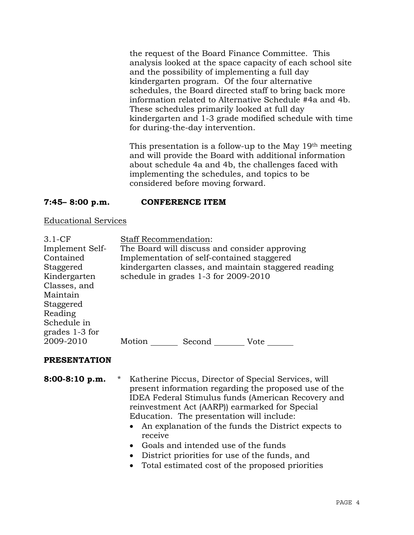the request of the Board Finance Committee. This analysis looked at the space capacity of each school site and the possibility of implementing a full day kindergarten program. Of the four alternative schedules, the Board directed staff to bring back more information related to Alternative Schedule #4a and 4b. These schedules primarily looked at full day kindergarten and 1-3 grade modified schedule with time for during-the-day intervention.

This presentation is a follow-up to the May 19th meeting and will provide the Board with additional information about schedule 4a and 4b, the challenges faced with implementing the schedules, and topics to be considered before moving forward.

# **7:45– 8:00 p.m. CONFERENCE ITEM**

### Educational Services

| $3.1-CF$        | <b>Staff Recommendation:</b>                         |
|-----------------|------------------------------------------------------|
| Implement Self- | The Board will discuss and consider approving        |
| Contained       | Implementation of self-contained staggered           |
| Staggered       | kindergarten classes, and maintain staggered reading |
| Kindergarten    | schedule in grades 1-3 for 2009-2010                 |
| Classes, and    |                                                      |
| Maintain        |                                                      |
| Staggered       |                                                      |
| Reading         |                                                      |
| Schedule in     |                                                      |
| grades 1-3 for  |                                                      |
| 2009-2010       | Motion<br>Second<br>Vote                             |
|                 |                                                      |

### **PRESENTATION**

**8:00-8:10 p.m.** \* Katherine Piccus, Director of Special Services, will present information regarding the proposed use of the IDEA Federal Stimulus funds (American Recovery and reinvestment Act (AARP)) earmarked for Special Education. The presentation will include:

- An explanation of the funds the District expects to receive
- Goals and intended use of the funds
- District priorities for use of the funds, and
- Total estimated cost of the proposed priorities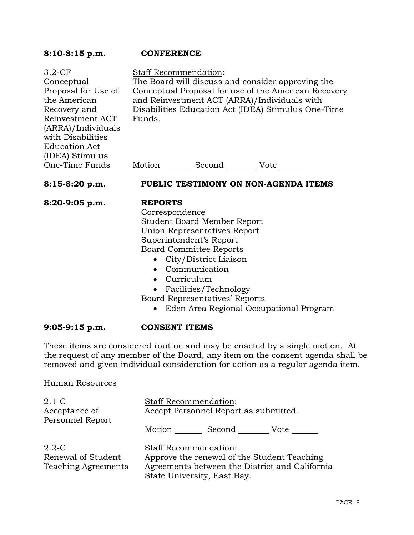### **8:10-8:15 p.m. CONFERENCE**  3.2-CF Conceptual Proposal for Use of the American Recovery and Reinvestment ACT (ARRA)/Individuals with Disabilities Education Act (IDEA) Stimulus One-Time Funds Staff Recommendation: The Board will discuss and consider approving the Conceptual Proposal for use of the American Recovery and Reinvestment ACT (ARRA)/Individuals with Disabilities Education Act (IDEA) Stimulus One-Time Funds. Motion Second Vote **8:15-8:20 p.m. PUBLIC TESTIMONY ON NON-AGENDA ITEMS 8:20-9:05 p.m. REPORTS** Correspondence Student Board Member Report Union Representatives Report Superintendent's Report Board Committee Reports • City/District Liaison • Communication • Curriculum • Facilities/Technology Board Representatives' Reports • Eden Area Regional Occupational Program

# **9:05-9:15 p.m. CONSENT ITEMS**

These items are considered routine and may be enacted by a single motion. At the request of any member of the Board, any item on the consent agenda shall be removed and given individual consideration for action as a regular agenda item.

# Human Resources

| $2.1-C$<br>Acceptance of<br>Personnel Report                  | <b>Staff Recommendation:</b><br>Accept Personnel Report as submitted.                                                                                        |  |
|---------------------------------------------------------------|--------------------------------------------------------------------------------------------------------------------------------------------------------------|--|
|                                                               | Motion<br>Second<br>Vote                                                                                                                                     |  |
| $2.2 - C$<br>Renewal of Student<br><b>Teaching Agreements</b> | <b>Staff Recommendation:</b><br>Approve the renewal of the Student Teaching<br>Agreements between the District and California<br>State University, East Bay. |  |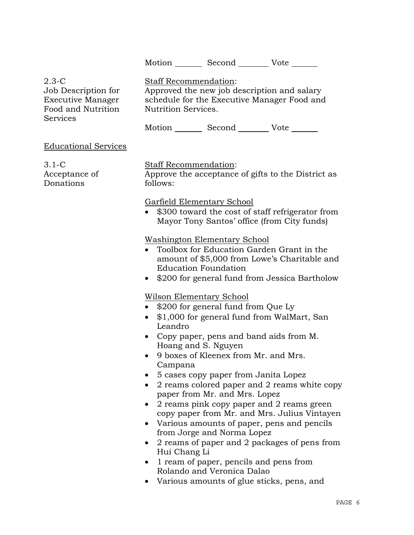Motion Second Vote \_\_\_\_\_\_

2.3-C Job Description for Executive Manager Food and Nutrition **Services** 

Staff Recommendation: Approved the new job description and salary schedule for the Executive Manager Food and Nutrition Services.

Motion Second Vote \_\_\_\_\_\_

Educational Services

3.1-C Acceptance of **Donations** 

Staff Recommendation:

Approve the acceptance of gifts to the District as follows:

Garfield Elementary School

\$300 toward the cost of staff refrigerator from Mayor Tony Santos' office (from City funds)

Washington Elementary School

- Toolbox for Education Garden Grant in the amount of \$5,000 from Lowe's Charitable and Education Foundation
- \$200 for general fund from Jessica Bartholow

Wilson Elementary School

- \$200 for general fund from Que Ly
- \$1,000 for general fund from WalMart, San Leandro
- Copy paper, pens and band aids from M. Hoang and S. Nguyen
- 9 boxes of Kleenex from Mr. and Mrs. Campana
- 5 cases copy paper from Janita Lopez
- 2 reams colored paper and 2 reams white copy paper from Mr. and Mrs. Lopez
- 2 reams pink copy paper and 2 reams green copy paper from Mr. and Mrs. Julius Vintayen
- Various amounts of paper, pens and pencils from Jorge and Norma Lopez
- 2 reams of paper and 2 packages of pens from Hui Chang Li
- 1 ream of paper, pencils and pens from Rolando and Veronica Dalao
- Various amounts of glue sticks, pens, and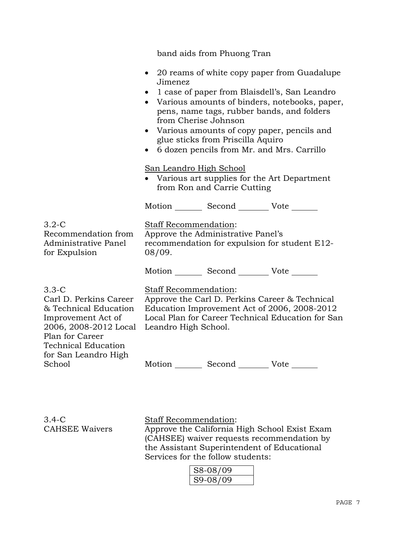band aids from Phuong Tran • 20 reams of white copy paper from Guadalupe Jimenez • 1 case of paper from Blaisdell's, San Leandro • Various amounts of binders, notebooks, paper, pens, name tags, rubber bands, and folders from Cherise Johnson • Various amounts of copy paper, pencils and glue sticks from Priscilla Aquiro • 6 dozen pencils from Mr. and Mrs. Carrillo San Leandro High School • Various art supplies for the Art Department from Ron and Carrie Cutting Motion Second Vote 3.2-C Recommendation from Administrative Panel for Expulsion Staff Recommendation: Approve the Administrative Panel's recommendation for expulsion for student E12- 08/09. Motion \_\_\_\_\_\_\_\_\_ Second \_\_\_\_\_\_\_\_\_\_ Vote \_\_\_\_ 3.3-C Carl D. Perkins Career & Technical Education Improvement Act of 2006, 2008-2012 Local Plan for Career Technical Education for San Leandro High School Staff Recommendation: Approve the Carl D. Perkins Career & Technical Education Improvement Act of 2006, 2008-2012 Local Plan for Career Technical Education for San Leandro High School. Motion Second Vote

3.4-C CAHSEE Waivers Staff Recommendation: Approve the California High School Exist Exam (CAHSEE) waiver requests recommendation by the Assistant Superintendent of Educational Services for the follow students:

| S8-08/09     |  |
|--------------|--|
| $S9 - 08/05$ |  |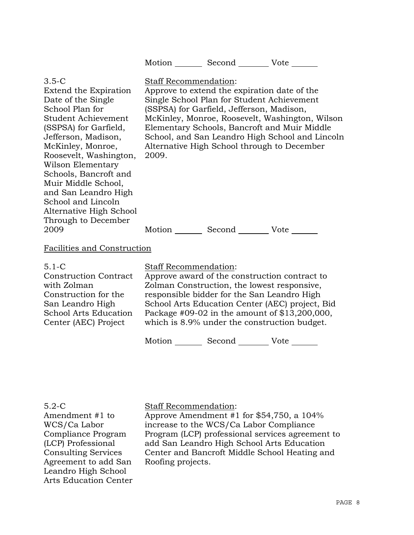|                                                                                                                                                                                                                                                                                                                                                                      |                                                                                                                                                                                                                                                                                                                          | Motion _________ Second _________ Vote _______                                                                                                                                         |                                                                                                                                                    |
|----------------------------------------------------------------------------------------------------------------------------------------------------------------------------------------------------------------------------------------------------------------------------------------------------------------------------------------------------------------------|--------------------------------------------------------------------------------------------------------------------------------------------------------------------------------------------------------------------------------------------------------------------------------------------------------------------------|----------------------------------------------------------------------------------------------------------------------------------------------------------------------------------------|----------------------------------------------------------------------------------------------------------------------------------------------------|
| $3.5-C$<br>Extend the Expiration<br>Date of the Single<br>School Plan for<br>Student Achievement<br>(SSPSA) for Garfield,<br>Jefferson, Madison,<br>McKinley, Monroe,<br>Roosevelt, Washington,<br>Wilson Elementary<br>Schools, Bancroft and<br>Muir Middle School,<br>and San Leandro High<br>School and Lincoln<br>Alternative High School<br>Through to December | Staff Recommendation:<br>2009.                                                                                                                                                                                                                                                                                           | Approve to extend the expiration date of the<br>Single School Plan for Student Achievement<br>(SSPSA) for Garfield, Jefferson, Madison,<br>Alternative High School through to December | McKinley, Monroe, Roosevelt, Washington, Wilson<br>Elementary Schools, Bancroft and Muir Middle<br>School, and San Leandro High School and Lincoln |
| 2009                                                                                                                                                                                                                                                                                                                                                                 |                                                                                                                                                                                                                                                                                                                          | Motion _________ Second __________ Vote _______                                                                                                                                        |                                                                                                                                                    |
| Facilities and Construction                                                                                                                                                                                                                                                                                                                                          |                                                                                                                                                                                                                                                                                                                          |                                                                                                                                                                                        |                                                                                                                                                    |
| $5.1-C$<br><b>Construction Contract</b><br>with Zolman<br>Construction for the<br>San Leandro High<br><b>School Arts Education</b><br>Center (AEC) Project                                                                                                                                                                                                           | Staff Recommendation:<br>Approve award of the construction contract to<br>Zolman Construction, the lowest responsive,<br>responsible bidder for the San Leandro High<br>School Arts Education Center (AEC) project, Bid<br>Package #09-02 in the amount of \$13,200,000,<br>which is 8.9% under the construction budget. |                                                                                                                                                                                        |                                                                                                                                                    |
|                                                                                                                                                                                                                                                                                                                                                                      |                                                                                                                                                                                                                                                                                                                          | Motion _________ Second _________ Vote ______                                                                                                                                          |                                                                                                                                                    |

5.2-C Amendment #1 to WCS/Ca Labor Compliance Program (LCP) Professional Consulting Services Agreement to add San Leandro High School Arts Education Center

# Staff Recommendation:

Approve Amendment #1 for \$54,750, a 104% increase to the WCS/Ca Labor Compliance Program (LCP) professional services agreement to add San Leandro High School Arts Education Center and Bancroft Middle School Heating and Roofing projects.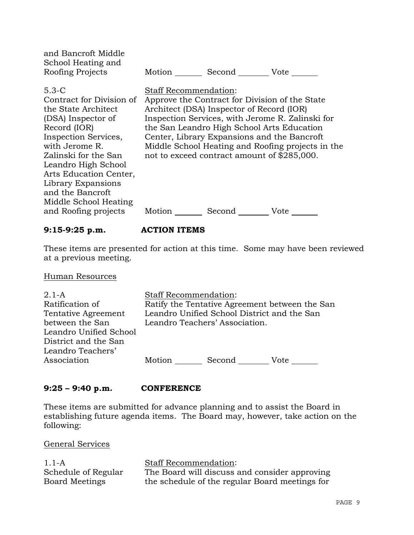| and Bancroft Middle<br>School Heating and<br>Roofing Projects                                                                                                                                                                                                                                                    | Second Vote<br>Motion                                                                                                                                                                                                                                                                                                                                                                                        |
|------------------------------------------------------------------------------------------------------------------------------------------------------------------------------------------------------------------------------------------------------------------------------------------------------------------|--------------------------------------------------------------------------------------------------------------------------------------------------------------------------------------------------------------------------------------------------------------------------------------------------------------------------------------------------------------------------------------------------------------|
| $5.3 - C$<br>Contract for Division of<br>the State Architect<br>(DSA) Inspector of<br>Record (IOR)<br>Inspection Services,<br>with Jerome R.<br>Zalinski for the San<br>Leandro High School<br>Arts Education Center,<br>Library Expansions<br>and the Bancroft<br>Middle School Heating<br>and Roofing projects | <b>Staff Recommendation:</b><br>Approve the Contract for Division of the State<br>Architect (DSA) Inspector of Record (IOR)<br>Inspection Services, with Jerome R. Zalinski for<br>the San Leandro High School Arts Education<br>Center, Library Expansions and the Bancroft<br>Middle School Heating and Roofing projects in the<br>not to exceed contract amount of \$285,000.<br>Motion<br>Second<br>Vote |

### **9:15-9:25 p.m. ACTION ITEMS**

These items are presented for action at this time. Some may have been reviewed at a previous meeting.

Human Resources

| $2.1 - A$              | <b>Staff Recommendation:</b> |                                             |                                                |
|------------------------|------------------------------|---------------------------------------------|------------------------------------------------|
| Ratification of        |                              |                                             | Ratify the Tentative Agreement between the San |
| Tentative Agreement    |                              | Leandro Unified School District and the San |                                                |
| between the San        |                              | Leandro Teachers' Association.              |                                                |
| Leandro Unified School |                              |                                             |                                                |
| District and the San   |                              |                                             |                                                |
| Leandro Teachers'      |                              |                                             |                                                |
| Association            | Motion                       | Second                                      | Vote                                           |

# **9:25 – 9:40 p.m. CONFERENCE**

These items are submitted for advance planning and to assist the Board in establishing future agenda items. The Board may, however, take action on the following:

| $1.1-A$             | <b>Staff Recommendation:</b>                   |
|---------------------|------------------------------------------------|
| Schedule of Regular | The Board will discuss and consider approving  |
| Board Meetings      | the schedule of the regular Board meetings for |